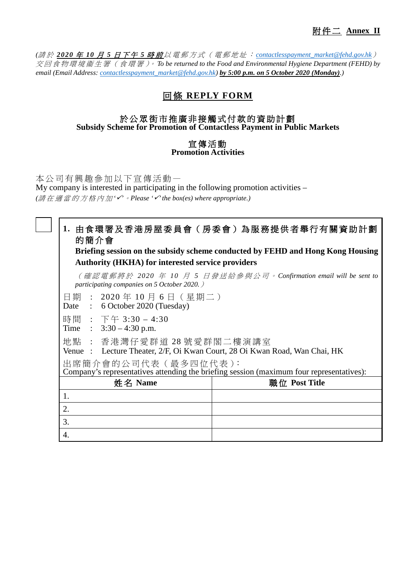*(*請 於 *2020* 年 *10* 月 *5* 日下午 *5* 時 前 以電郵方式(電郵地址: *[contactlesspayment\\_market@fehd.gov.hk](mailto:contactlesspayment_market@fehd.gov.hk)*) 交 回 食 物 環 境 衞 生 署 ( 食 環 署 )。 *To be returned to the Food and Environmental Hygiene Department (FEHD) by email (Email Address: [contactlesspayment\\_market@fehd.gov.hk\)](mailto:contactlesspayment_market@fehd.gov.hk) by 5:00 p.m. on 5 October 2020 (Monday).)*

## 回條 **REPLY FORM**

## 於公眾街市推廣非接觸式付款的資助計劃 **Subsidy Scheme for Promotion of Contactless Payment in Public Markets**

## 宣傳活動 **Promotion Activities**

本公司有興趣參加以下宣傳活動一 My company is interested in participating in the following promotion activities – *(*請在適當的 方 格 內 加 *''*。*Please ''the box(es) where appropriate.)*

## **1.** 由食環署 及香港房屋委員會(房委會)為服務提供者 舉行 有關資助計劃 的簡介會

**Briefing session on the subsidy scheme conducted by FEHD and Hong Kong Housing Authority (HKHA) for interested service providers**

(確認電郵將於 *2020* 年 *10* 月 *5* 日發送給參與公司。 *Confirmation email will be sent to participating companies on 5 October 2020.*)

- 日期 : 2020 年 10 月 6 日(星期二 )
- Date : 6 October 2020 (Tuesday)
- 時間: 下午 3:30 4:30
- Time :  $3:30 4:30$  p.m.
- 地點 : 香港 灣仔 愛群道 28 號愛群閣二樓演講室
- Venue : Lecture Theater, 2/F, Oi Kwan Court, 28 Oi Kwan Road, Wan Chai, HK
- 出席簡介會的公司代表 (最多四位代表):

Company's representatives attending the briefing session (maximum four representatives):

| 姓名 Name | 職位 Post Title |
|---------|---------------|
|         |               |
|         |               |
| ، ب     |               |
|         |               |